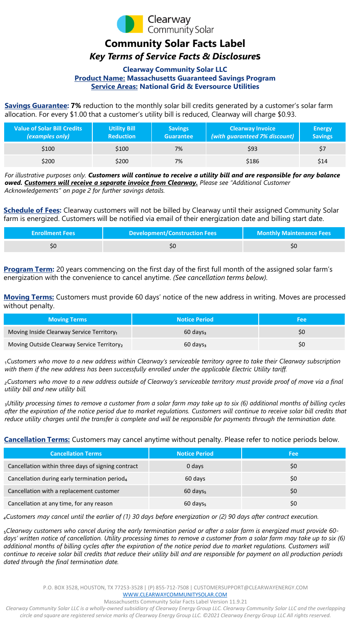

# **Community Solar Facts Label**

## *Key Terms of Service Facts & Disclosure***s**

### **Clearway Community Solar LLC Product Name: Massachusetts Guaranteed Savings Program Service Areas: National Grid & Eversource Utilities**

**Savings Guarantee: 7%** reduction to the monthly solar bill credits generated by a customer's solar farm allocation. For every \$1.00 that a customer's utility bill is reduced, Clearway will charge \$0.93.

| <b>Value of Solar Bill Credits</b><br>(examples only) | <b>Utility Bill</b><br><b>Reduction</b> | <b>Savings</b><br><b>Guarantee</b> | <b>Clearway Invoice</b><br>(with guaranteed 7% discount) | <b>Energy</b><br><b>Savings</b> |
|-------------------------------------------------------|-----------------------------------------|------------------------------------|----------------------------------------------------------|---------------------------------|
| \$100                                                 | \$100                                   | 7%                                 | \$93                                                     | \$7                             |
| \$200                                                 | \$200                                   | 7%                                 | \$186                                                    | \$14                            |

*For illustrative purposes only. Customers will continue to receive a utility bill and are responsible for any balance owed. Customers will receive a separate invoice from Clearway. Please see "Additional Customer Acknowledgements" on page 2 for further savings details.* 

**Schedule of Fees:** Clearway customers will not be billed by Clearway until their assigned Community Solar farm is energized. Customers will be notified via email of their energization date and billing start date.

| <b>Enrollment Fees</b> | <b>Development/Construction Fees</b> | Monthly Maintenance Fees |
|------------------------|--------------------------------------|--------------------------|
|                        |                                      |                          |

**Program Term:** 20 years commencing on the first day of the first full month of the assigned solar farm's energization with the convenience to cancel anytime. *(See cancellation terms below).*

**Moving Terms:** Customers must provide 60 days' notice of the new address in writing. Moves are processed without penalty.

| <b>Moving Terms</b>                                    | <b>Notice Period</b> | Fee |
|--------------------------------------------------------|----------------------|-----|
| Moving Inside Clearway Service Territory <sub>1</sub>  | $60 \text{ days}$    |     |
| Moving Outside Clearway Service Territory <sub>2</sub> | $60 \text{ days}$    |     |

₁*Customers who move to a new address within Clearway's serviceable territory agree to take their Clearway subscription with them if the new address has been successfully enrolled under the applicable Electric Utility tariff.*

*₂Customers who move to a new address outside of Clearway's serviceable territory must provide proof of move via a final utility bill and new utility bill.* 

₃*Utility processing times to remove a customer from a solar farm may take up to six (6) additional months of billing cycles after the expiration of the notice period due to market regulations. Customers will continue to receive solar bill credits that reduce utility charges until the transfer is complete and will be responsible for payments through the termination date.*

**Cancellation Terms:** Customers may cancel anytime without penalty. Please refer to notice periods below.

| <b>Cancellation Terms</b>                                 | <b>Notice Period</b> | Fee |
|-----------------------------------------------------------|----------------------|-----|
| Cancellation within three days of signing contract        | 0 days               | \$0 |
| Cancellation during early termination period <sub>4</sub> | 60 days              | \$0 |
| Cancellation with a replacement customer                  | $60 \text{ days}$    | \$0 |
| Cancellation at any time, for any reason                  | $60 \text{ days}$    | \$0 |

*₄Customers may cancel until the earlier of (1) 30 days before energization or (2) 90 days after contract execution.* 

₅*Clearway customers who cancel during the early termination period or after a solar farm is energized must provide 60 days' written notice of cancellation. Utility processing times to remove a customer from a solar farm may take up to six (6) additional months of billing cycles after the expiration of the notice period due to market regulations. Customers will continue to receive solar bill credits that reduce their utility bill and are responsible for payment on all production periods dated through the final termination date.* 

P.O. BOX 3528, HOUSTON, TX 77253-3528 | (P) 855-712-7508 | CUSTOMERSUPPORT@CLEARWAYENERGY.COM

[WWW.CLEARWAYCOMMUNITYSOLAR.COM](http://WWW.CLEARWAYCOMMUNITYSOLAR.COM%E2%80%8B)

#### Massachusetts Community Solar Facts Label Version 11.9.21

*Clearway Community Solar LLC is a wholly-owned subsidiary of Clearway Energy Group LLC. Clearway Community Solar LLC and the overlapping circle and square are registered service marks of Clearway Energy Group LLC. ©2021 Clearway Energy Group LLC All rights reserved.*